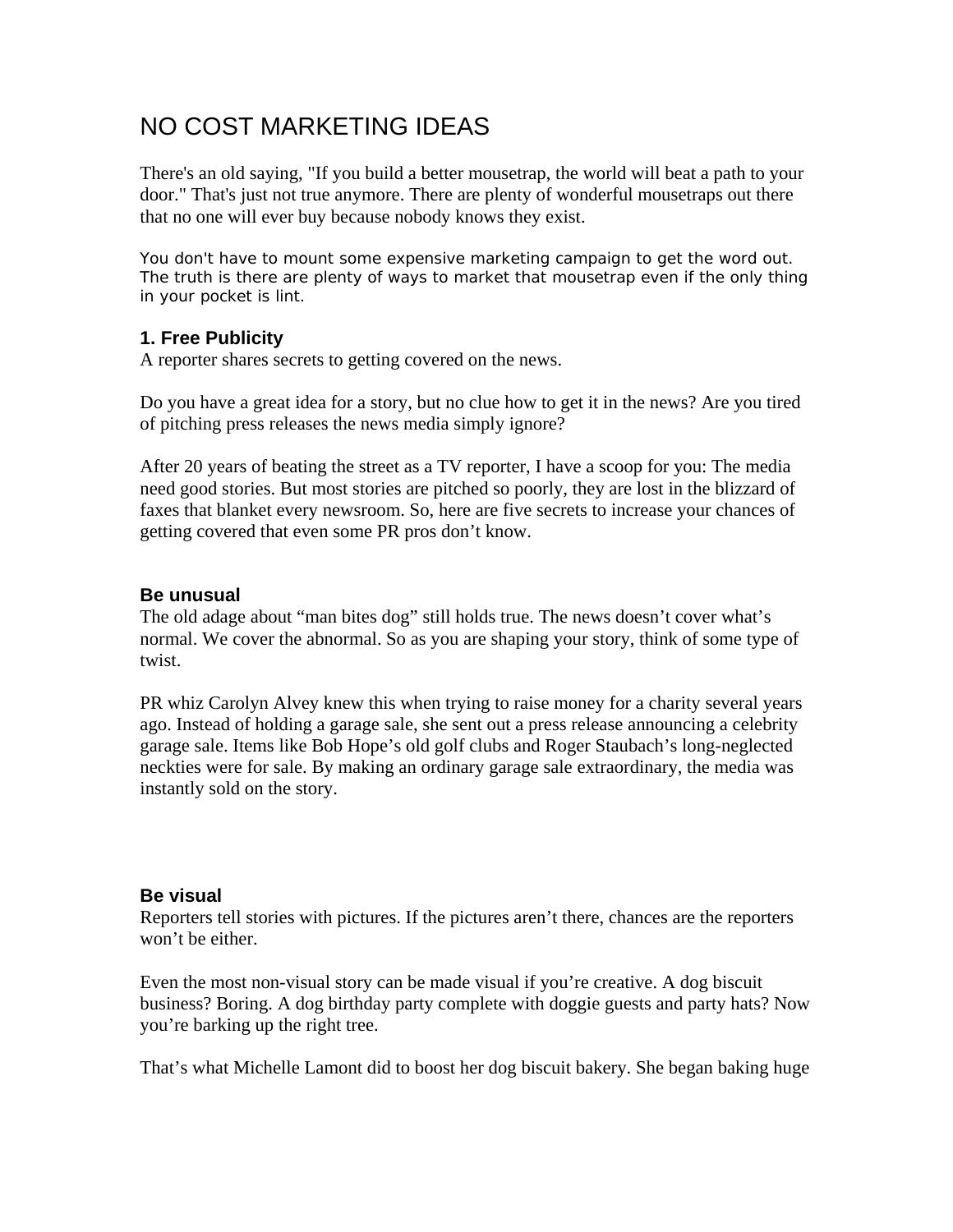# NO COST MARKETING IDEAS

There's an old saying, "If you build a better mousetrap, the world will beat a path to your door." That's just not true anymore. There are plenty of wonderful mousetraps out there that no one will ever buy because nobody knows they exist.

You don't have to mount some expensive marketing campaign to get the word out. The truth is there are plenty of ways to market that mousetrap even if the only thing in your pocket is lint.

## **1. Free Publicity**

A reporter shares secrets to getting covered on the news.

Do you have a great idea for a story, but no clue how to get it in the news? Are you tired of pitching press releases the news media simply ignore?

After 20 years of beating the street as a TV reporter, I have a scoop for you: The media need good stories. But most stories are pitched so poorly, they are lost in the blizzard of faxes that blanket every newsroom. So, here are five secrets to increase your chances of getting covered that even some PR pros don't know.

### **Be unusual**

The old adage about "man bites dog" still holds true. The news doesn't cover what's normal. We cover the abnormal. So as you are shaping your story, think of some type of twist.

PR whiz Carolyn Alvey knew this when trying to raise money for a charity several years ago. Instead of holding a garage sale, she sent out a press release announcing a celebrity garage sale. Items like Bob Hope's old golf clubs and Roger Staubach's long-neglected neckties were for sale. By making an ordinary garage sale extraordinary, the media was instantly sold on the story.

### **Be visual**

Reporters tell stories with pictures. If the pictures aren't there, chances are the reporters won't be either.

Even the most non-visual story can be made visual if you're creative. A dog biscuit business? Boring. A dog birthday party complete with doggie guests and party hats? Now you're barking up the right tree.

That's what Michelle Lamont did to boost her dog biscuit bakery. She began baking huge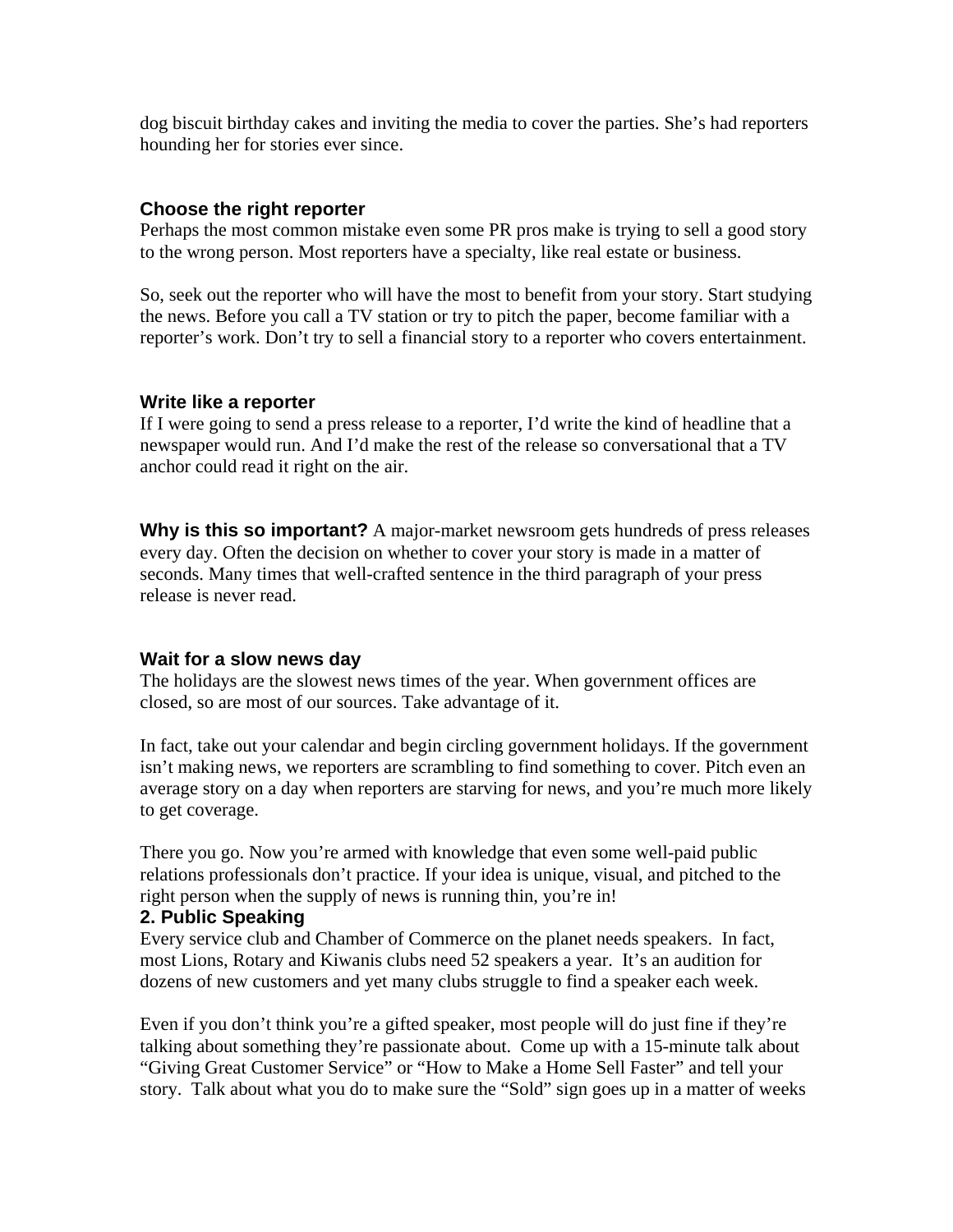dog biscuit birthday cakes and inviting the media to cover the parties. She's had reporters hounding her for stories ever since.

#### **Choose the right reporter**

Perhaps the most common mistake even some PR pros make is trying to sell a good story to the wrong person. Most reporters have a specialty, like real estate or business.

So, seek out the reporter who will have the most to benefit from your story. Start studying the news. Before you call a TV station or try to pitch the paper, become familiar with a reporter's work. Don't try to sell a financial story to a reporter who covers entertainment.

#### **Write like a reporter**

If I were going to send a press release to a reporter, I'd write the kind of headline that a newspaper would run. And I'd make the rest of the release so conversational that a TV anchor could read it right on the air.

**Why is this so important?** A major-market newsroom gets hundreds of press releases every day. Often the decision on whether to cover your story is made in a matter of seconds. Many times that well-crafted sentence in the third paragraph of your press release is never read.

### **Wait for a slow news day**

The holidays are the slowest news times of the year. When government offices are closed, so are most of our sources. Take advantage of it.

In fact, take out your calendar and begin circling government holidays. If the government isn't making news, we reporters are scrambling to find something to cover. Pitch even an average story on a day when reporters are starving for news, and you're much more likely to get coverage.

There you go. Now you're armed with knowledge that even some well-paid public relations professionals don't practice. If your idea is unique, visual, and pitched to the right person when the supply of news is running thin, you're in!

#### **2. Public Speaking**

Every service club and Chamber of Commerce on the planet needs speakers. In fact, most Lions, Rotary and Kiwanis clubs need 52 speakers a year. It's an audition for dozens of new customers and yet many clubs struggle to find a speaker each week.

Even if you don't think you're a gifted speaker, most people will do just fine if they're talking about something they're passionate about. Come up with a 15-minute talk about "Giving Great Customer Service" or "How to Make a Home Sell Faster" and tell your story. Talk about what you do to make sure the "Sold" sign goes up in a matter of weeks